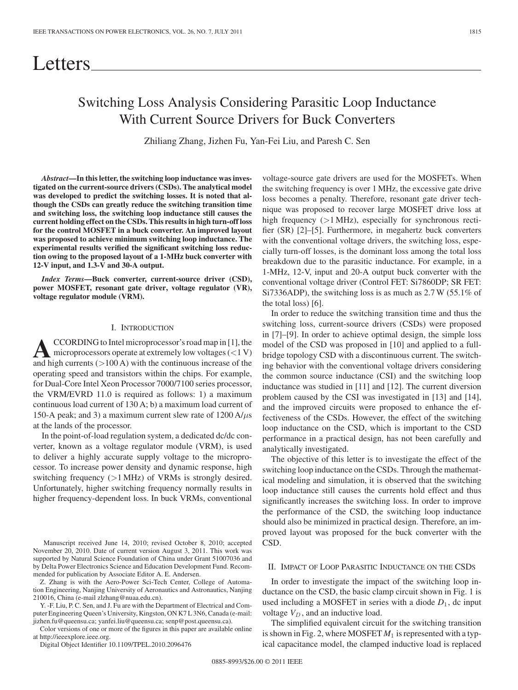# Switching Loss Analysis Considering Parasitic Loop Inductance With Current Source Drivers for Buck Converters

Zhiliang Zhang, Jizhen Fu, Yan-Fei Liu, and Paresh C. Sen

*Abstract***—In this letter, the switching loop inductance was investigated on the current-source drivers (CSDs). The analytical model was developed to predict the switching losses. It is noted that although the CSDs can greatly reduce the switching transition time and switching loss, the switching loop inductance still causes the current holding effect on the CSDs. This results in high turn-off loss for the control MOSFET in a buck converter. An improved layout was proposed to achieve minimum switching loop inductance. The experimental results verified the significant switching loss reduction owing to the proposed layout of a 1-MHz buck converter with 12-V input, and 1.3-V and 30-A output.**

*Index Terms***—Buck converter, current-source driver (CSD), power MOSFET, resonant gate driver, voltage regulator (VR), voltage regulator module (VRM).**

## I. INTRODUCTION

 $\bf{A}$ CCORDING to Intel microprocessor's road map in [1], the<br>microprocessors operate at extremely low voltages (<1 V)<br>and bigh currents ( $\geq$  100.4) with the continuous increase of the and high currents  $(>100 \text{ A})$  with the continuous increase of the operating speed and transistors within the chips. For example, for Dual-Core Intel Xeon Processor 7000/7100 series processor, the VRM/EVRD 11.0 is required as follows: 1) a maximum continuous load current of 130 A; b) a maximum load current of 150-A peak; and 3) a maximum current slew rate of  $1200 \text{ A}$ / $\mu$ s at the lands of the processor.

In the point-of-load regulation system, a dedicated dc/dc converter, known as a voltage regulator module (VRM), is used to deliver a highly accurate supply voltage to the microprocessor. To increase power density and dynamic response, high switching frequency (>1 MHz) of VRMs is strongly desired. Unfortunately, higher switching frequency normally results in higher frequency-dependent loss. In buck VRMs, conventional

Manuscript received June 14, 2010; revised October 8, 2010; accepted November 20, 2010. Date of current version August 3, 2011. This work was supported by Natural Science Foundation of China under Grant 51007036 and by Delta Power Electronics Science and Education Development Fund. Recommended for publication by Associate Editor A. E. Andersen.

Z. Zhang is with the Aero-Power Sci-Tech Center, College of Automation Engineering, Nanjing University of Aeronautics and Astronautics, Nanjing 210016, China (e-mail zlzhang@nuaa.edu.cn).

Y. -F. Liu, P. C. Sen, and J. Fu are with the Department of Electrical and Computer Engineering Queen's University, Kingston, ON K7 L 3N6, Canada (e-mail: jizhen.fu@queensu.ca; yanfei.liu@queensu.ca; senp@post.queensu.ca).

Color versions of one or more of the figures in this paper are available online at http://ieeexplore.ieee.org.

Digital Object Identifier 10.1109/TPEL.2010.2096476

voltage-source gate drivers are used for the MOSFETs. When the switching frequency is over 1 MHz, the excessive gate drive loss becomes a penalty. Therefore, resonant gate driver technique was proposed to recover large MOSFET drive loss at high frequency  $(>1$  MHz), especially for synchronous rectifier (SR) [2]–[5]. Furthermore, in megahertz buck converters with the conventional voltage drivers, the switching loss, especially turn-off losses, is the dominant loss among the total loss breakdown due to the parasitic inductance. For example, in a 1-MHz, 12-V, input and 20-A output buck converter with the conventional voltage driver (Control FET: Si7860DP; SR FET: Si7336ADP), the switching loss is as much as 2.7 W (55.1% of the total loss) [6].

In order to reduce the switching transition time and thus the switching loss, current-source drivers (CSDs) were proposed in [7]–[9]. In order to achieve optimal design, the simple loss model of the CSD was proposed in [10] and applied to a fullbridge topology CSD with a discontinuous current. The switching behavior with the conventional voltage drivers considering the common source inductance (CSI) and the switching loop inductance was studied in [11] and [12]. The current diversion problem caused by the CSI was investigated in [13] and [14], and the improved circuits were proposed to enhance the effectiveness of the CSDs. However, the effect of the switching loop inductance on the CSD, which is important to the CSD performance in a practical design, has not been carefully and analytically investigated.

The objective of this letter is to investigate the effect of the switching loop inductance on the CSDs. Through the mathematical modeling and simulation, it is observed that the switching loop inductance still causes the currents hold effect and thus significantly increases the switching loss. In order to improve the performance of the CSD, the switching loop inductance should also be minimized in practical design. Therefore, an improved layout was proposed for the buck converter with the CSD.

## II. IMPACT OF LOOP PARASITIC INDUCTANCE ON THE CSDS

In order to investigate the impact of the switching loop inductance on the CSD, the basic clamp circuit shown in Fig. 1 is used including a MOSFET in series with a diode  $D_1$ , dc input voltage  $V_D$ , and an inductive load.

The simplified equivalent circuit for the switching transition is shown in Fig. 2, where MOSFET  $M_1$  is represented with a typical capacitance model, the clamped inductive load is replaced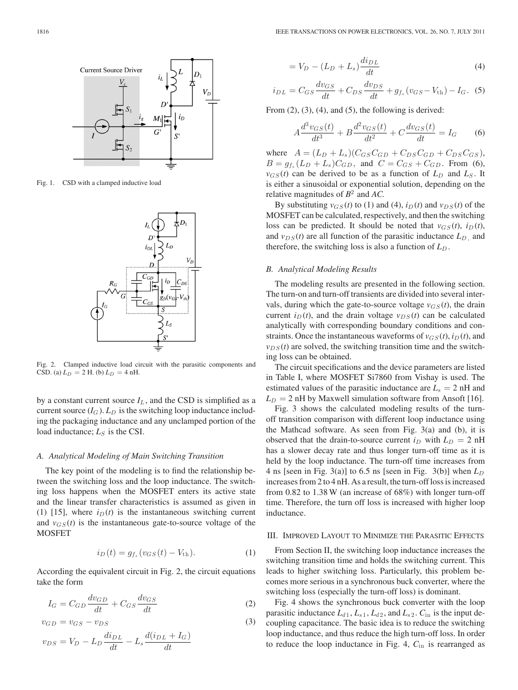

Fig. 1. CSD with a clamped inductive load



Fig. 2. Clamped inductive load circuit with the parasitic components and CSD. (a)  $L_D = 2$  H. (b)  $L_D = 4$  nH.

by a constant current source  $I_L$ , and the CSD is simplified as a current source  $(I_G)$ .  $L_D$  is the switching loop inductance including the packaging inductance and any unclamped portion of the load inductance;  $L_S$  is the CSI.

## *A. Analytical Modeling of Main Switching Transition*

The key point of the modeling is to find the relationship between the switching loss and the loop inductance. The switching loss happens when the MOSFET enters its active state and the linear transfer characteristics is assumed as given in (1) [15], where  $i_D(t)$  is the instantaneous switching current and  $v_{GS}(t)$  is the instantaneous gate-to-source voltage of the MOSFET

$$
i_D(t) = g_{f_s}(v_{GS}(t) - V_{\text{th}}).
$$
 (1)

According the equivalent circuit in Fig. 2, the circuit equations take the form

$$
I_G = C_{GD} \frac{dv_{GD}}{dt} + C_{GS} \frac{dv_{GS}}{dt}
$$
 (2)

$$
v_{GD} = v_{GS} - v_{DS} \tag{3}
$$

$$
v_{DS} = V_D - L_D \frac{di_{DL}}{dt} - L_s \frac{d(i_{DL} + I_G)}{dt}
$$

$$
= V_D - (L_D + L_s) \frac{di_{DL}}{dt}
$$
\n(4)

$$
i_{DL} = C_{GS} \frac{dv_{GS}}{dt} + C_{DS} \frac{dv_{DS}}{dt} + g_{f_s} (v_{GS} - V_{\text{th}}) - I_G. \tag{5}
$$

From  $(2)$ ,  $(3)$ ,  $(4)$ , and  $(5)$ , the following is derived:

$$
A\frac{d^3v_{GS}(t)}{dt^3} + B\frac{d^2v_{GS}(t)}{dt^2} + C\frac{dv_{GS}(t)}{dt} = I_G
$$
 (6)

where  $A = (L_D + L_s)(C_{GS}C_{GD} + C_{DS}C_{GD} + C_{DS}C_{GS}),$  $B = g_{f_s}(L_D + L_s)C_{GD}$ , and  $C = C_{GS} + C_{GD}$ . From (6),  $v_{GS}(t)$  can be derived to be as a function of  $L_D$  and  $L_S$ . It is either a sinusoidal or exponential solution, depending on the relative magnitudes of *B*<sup>2</sup> and *AC.*

By substituting  $v_{GS}(t)$  to (1) and (4),  $i_D(t)$  and  $v_{DS}(t)$  of the MOSFET can be calculated, respectively, and then the switching loss can be predicted. It should be noted that  $v_{GS}(t)$ ,  $i_D(t)$ , and  $v_{DS}(t)$  are all function of the parasitic inductance  $L_D$ , and therefore, the switching loss is also a function of  $L_D$ .

## *B. Analytical Modeling Results*

The modeling results are presented in the following section. The turn-on and turn-off transients are divided into several intervals, during which the gate-to-source voltage  $v_{GS}(t)$ , the drain current  $i_D(t)$ , and the drain voltage  $v_{DS}(t)$  can be calculated analytically with corresponding boundary conditions and constraints. Once the instantaneous waveforms of  $v_{GS}(t)$ ,  $i_D(t)$ , and  $v_{DS}(t)$  are solved, the switching transition time and the switching loss can be obtained.

The circuit specifications and the device parameters are listed in Table I, where MOSFET Si7860 from Vishay is used. The estimated values of the parasitic inductance are  $L<sub>s</sub> = 2$  nH and  $L_D = 2$  nH by Maxwell simulation software from Ansoft [16].

Fig. 3 shows the calculated modeling results of the turnoff transition comparison with different loop inductance using the Mathcad software. As seen from Fig. 3(a) and (b), it is observed that the drain-to-source current  $i_D$  with  $L_D = 2$  nH has a slower decay rate and thus longer turn-off time as it is held by the loop inductance. The turn-off time increases from 4 ns [seen in Fig. 3(a)] to 6.5 ns [seen in Fig. 3(b)] when  $L_D$ increases from 2 to 4 nH. As a result, the turn-off loss is increased from 0.82 to 1.38 W (an increase of 68%) with longer turn-off time. Therefore, the turn off loss is increased with higher loop inductance.

## III. IMPROVED LAYOUT TO MINIMIZE THE PARASITIC EFFECTS

From Section II, the switching loop inductance increases the switching transition time and holds the switching current. This leads to higher switching loss. Particularly, this problem becomes more serious in a synchronous buck converter, where the switching loss (especially the turn-off loss) is dominant.

Fig. 4 shows the synchronous buck converter with the loop parasitic inductance  $L_{d1}$ ,  $L_{s1}$ ,  $L_{d2}$ , and  $L_{s2}$ .  $C_{in}$  is the input decoupling capacitance. The basic idea is to reduce the switching loop inductance, and thus reduce the high turn-off loss. In order to reduce the loop inductance in Fig. 4, *C*in is rearranged as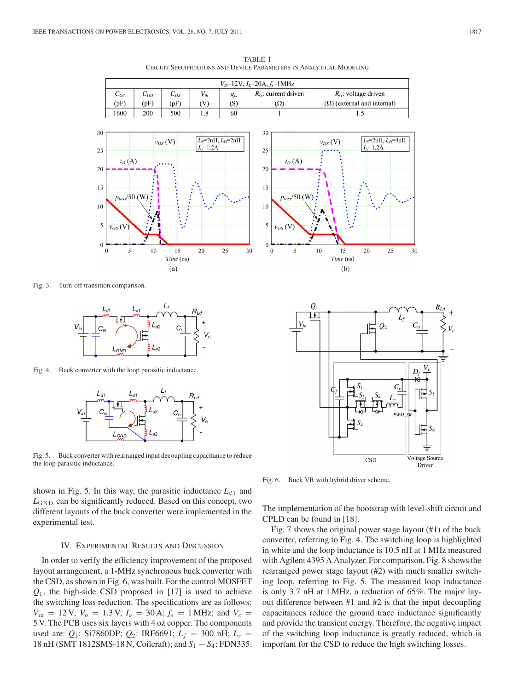

TABLE I CIRCUIT SPECIFICATIONS AND DEVICE PARAMETERS IN ANALYTICAL MODELING

Fig. 3. Turn-off transition comparison.



Fig. 4. Buck converter with the loop parasitic inductance.



Fig. 5. Buck converter with rearranged input decoupling capacitance to reduce the loop parasitic inductance.



## IV. EXPERIMENTAL RESULTS AND DISCUSSION

In order to verify the efficiency improvement of the proposed layout arrangement, a 1-MHz synchronous buck converter with the CSD, as shown in Fig. 6, was built. For the control MOSFET  $Q_1$ , the high-side CSD proposed in [17] is used to achieve the switching loss reduction. The specifications are as follows:  $V_{\text{in}} = 12 \text{ V}; V_o = 1.3 \text{ V}; I_o = 30 \text{ A}; f_s = 1 \text{ MHz}; \text{ and } V_c =$ 5 V. The PCB uses six layers with 4 oz copper. The components used are:  $Q_1$ : Si7860DP;  $Q_2$ : IRF6691;  $L_f$  = 300 nH;  $L_r$  = 18 nH (SMT 1812SMS-18 N, Coilcraft); and *S*<sup>1</sup> − *S*<sup>4</sup> : FDN335.



Fig. 6. Buck VR with hybrid driver scheme.

The implementation of the bootstrap with level-shift circuit and CPLD can be found in [18].

Fig. 7 shows the original power stage layout (#1) of the buck converter, referring to Fig. 4. The switching loop is highlighted in white and the loop inductance is 10.5 nH at 1 MHz measured with Agilent 4395 A Analyzer. For comparison, Fig. 8 shows the rearranged power stage layout (#2) with much smaller switching loop, referring to Fig. 5. The measured loop inductance is only 3.7 nH at 1 MHz, a reduction of 65%. The major layout difference between #1 and #2 is that the input decoupling capacitances reduce the ground trace inductance significantly and provide the transient energy. Therefore, the negative impact of the switching loop inductance is greatly reduced, which is important for the CSD to reduce the high switching losses.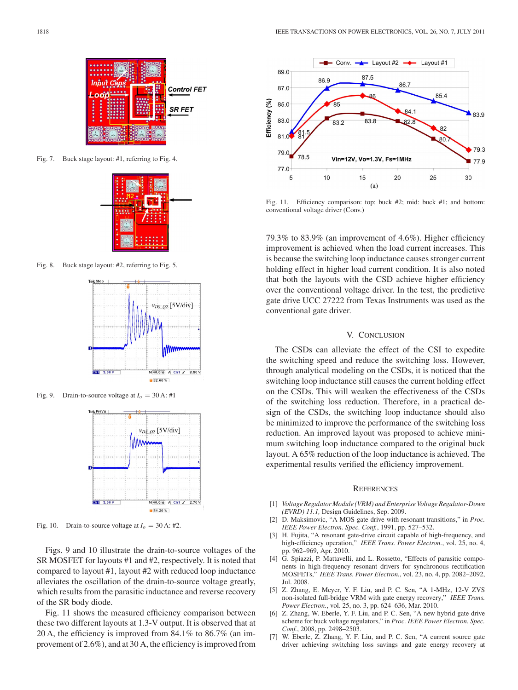

Fig. 7. Buck stage layout: #1, referring to Fig. 4.



Fig. 8. Buck stage layout: #2, referring to Fig. 5.



Fig. 9. Drain-to-source voltage at  $I_0 = 30$  A: #1



Fig. 10. Drain-to-source voltage at  $I_0 = 30$  A: #2.

Figs. 9 and 10 illustrate the drain-to-source voltages of the SR MOSFET for layouts #1 and #2, respectively. It is noted that compared to layout #1, layout #2 with reduced loop inductance alleviates the oscillation of the drain-to-source voltage greatly, which results from the parasitic inductance and reverse recovery of the SR body diode.

Fig. 11 shows the measured efficiency comparison between these two different layouts at 1.3-V output. It is observed that at 20 A, the efficiency is improved from 84.1% to 86.7% (an improvement of 2.6%), and at 30 A, the efficiency is improved from



Fig. 11. Efficiency comparison: top: buck #2; mid: buck #1; and bottom: conventional voltage driver (Conv.)

79.3% to 83.9% (an improvement of 4.6%). Higher efficiency improvement is achieved when the load current increases. This is because the switching loop inductance causes stronger current holding effect in higher load current condition. It is also noted that both the layouts with the CSD achieve higher efficiency over the conventional voltage driver. In the test, the predictive gate drive UCC 27222 from Texas Instruments was used as the conventional gate driver.

## V. CONCLUSION

The CSDs can alleviate the effect of the CSI to expedite the switching speed and reduce the switching loss. However, through analytical modeling on the CSDs, it is noticed that the switching loop inductance still causes the current holding effect on the CSDs. This will weaken the effectiveness of the CSDs of the switching loss reduction. Therefore, in a practical design of the CSDs, the switching loop inductance should also be minimized to improve the performance of the switching loss reduction. An improved layout was proposed to achieve minimum switching loop inductance compared to the original buck layout. A 65% reduction of the loop inductance is achieved. The experimental results verified the efficiency improvement.

#### **REFERENCES**

- [1] *Voltage Regulator Module (VRM) and Enterprise Voltage Regulator-Down (EVRD) 11.1,* Design Guidelines, Sep. 2009.
- [2] D. Maksimovic, "A MOS gate drive with resonant transitions," in *Proc. IEEE Power Electron. Spec. Conf.*, 1991, pp. 527–532.
- [3] H. Fujita, "A resonant gate-drive circuit capable of high-frequency, and high-efficiency operation," *IEEE Trans. Power Electron.*, vol. 25, no. 4, pp. 962–969, Apr. 2010.
- [4] G. Spiazzi, P. Mattavelli, and L. Rossetto, "Effects of parasitic components in high-frequency resonant drivers for synchronous rectification MOSFETs," *IEEE Trans. Power Electron.*, vol. 23, no. 4, pp. 2082–2092, Jul. 2008.
- [5] Z. Zhang, E. Meyer, Y. F. Liu, and P. C. Sen, "A 1-MHz, 12-V ZVS non-isolated full-bridge VRM with gate energy recovery," *IEEE Trans. Power Electron.*, vol. 25, no. 3, pp. 624–636, Mar. 2010.
- [6] Z. Zhang, W. Eberle, Y. F. Liu, and P. C. Sen, "A new hybrid gate drive scheme for buck voltage regulators," in *Proc. IEEE Power Electron. Spec. Conf.*, 2008, pp. 2498–2503.
- [7] W. Eberle, Z. Zhang, Y. F. Liu, and P. C. Sen, "A current source gate driver achieving switching loss savings and gate energy recovery at